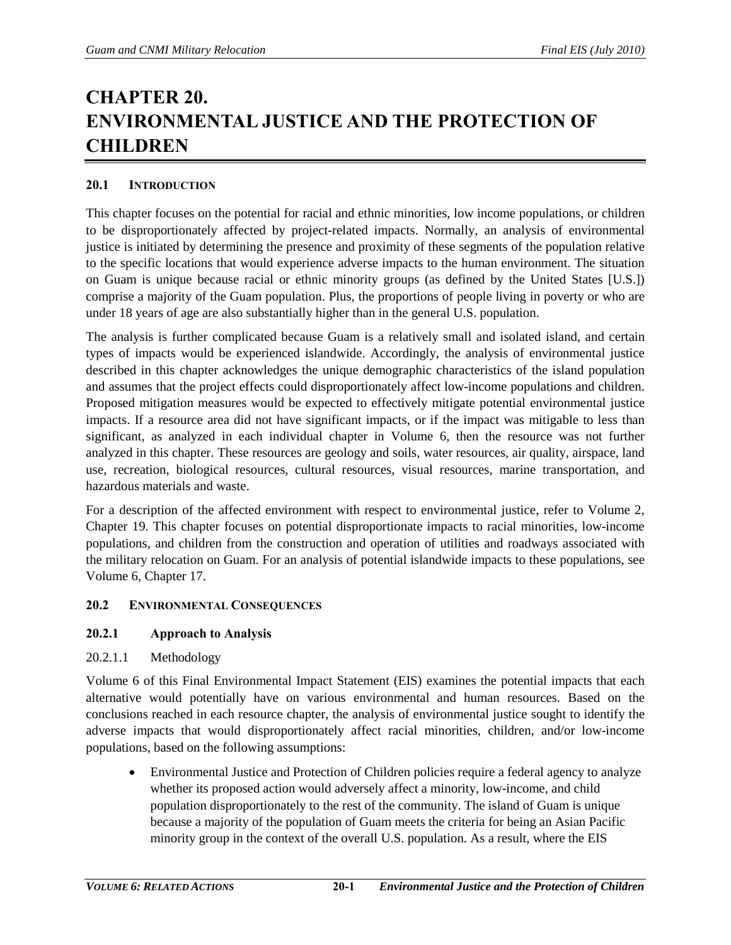# **CHAPTER 20. ENVIRONMENTAL JUSTICE AND THE PROTECTION OF CHILDREN**

# **20.1 INTRODUCTION**

This chapter focuses on the potential for racial and ethnic minorities, low income populations, or children to be disproportionately affected by project-related impacts. Normally, an analysis of environmental justice is initiated by determining the presence and proximity of these segments of the population relative to the specific locations that would experience adverse impacts to the human environment. The situation on Guam is unique because racial or ethnic minority groups (as defined by the United States [U.S.]) comprise a majority of the Guam population. Plus, the proportions of people living in poverty or who are under 18 years of age are also substantially higher than in the general U.S. population.

The analysis is further complicated because Guam is a relatively small and isolated island, and certain types of impacts would be experienced islandwide. Accordingly, the analysis of environmental justice described in this chapter acknowledges the unique demographic characteristics of the island population and assumes that the project effects could disproportionately affect low-income populations and children. Proposed mitigation measures would be expected to effectively mitigate potential environmental justice impacts. If a resource area did not have significant impacts, or if the impact was mitigable to less than significant, as analyzed in each individual chapter in Volume 6, then the resource was not further analyzed in this chapter. These resources are geology and soils, water resources, air quality, airspace, land use, recreation, biological resources, cultural resources, visual resources, marine transportation, and hazardous materials and waste.

For a description of the affected environment with respect to environmental justice, refer to Volume 2, Chapter 19. This chapter focuses on potential disproportionate impacts to racial minorities, low-income populations, and children from the construction and operation of utilities and roadways associated with the military relocation on Guam. For an analysis of potential islandwide impacts to these populations, see Volume 6, Chapter 17.

## **20.2 ENVIRONMENTAL CONSEQUENCES**

# **20.2.1 Approach to Analysis**

20.2.1.1 Methodology

Volume 6 of this Final Environmental Impact Statement (EIS) examines the potential impacts that each alternative would potentially have on various environmental and human resources. Based on the conclusions reached in each resource chapter, the analysis of environmental justice sought to identify the adverse impacts that would disproportionately affect racial minorities, children, and/or low-income populations, based on the following assumptions:

• Environmental Justice and Protection of Children policies require a federal agency to analyze whether its proposed action would adversely affect a minority, low-income, and child population disproportionately to the rest of the community. The island of Guam is unique because a majority of the population of Guam meets the criteria for being an Asian Pacific minority group in the context of the overall U.S. population. As a result, where the EIS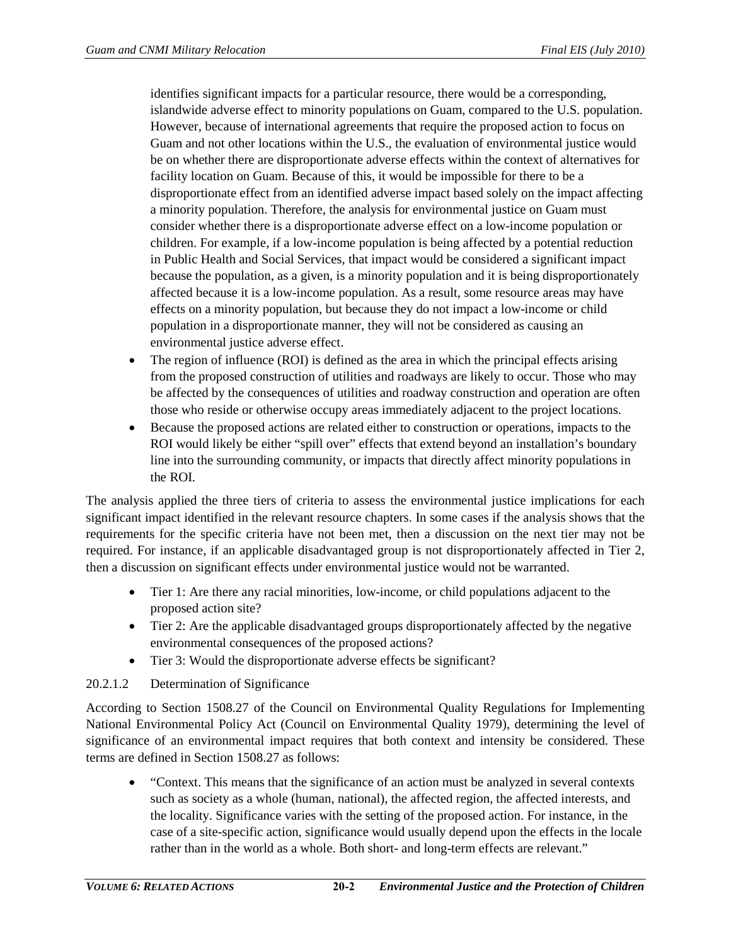identifies significant impacts for a particular resource, there would be a corresponding, islandwide adverse effect to minority populations on Guam, compared to the U.S. population. However, because of international agreements that require the proposed action to focus on Guam and not other locations within the U.S., the evaluation of environmental justice would be on whether there are disproportionate adverse effects within the context of alternatives for facility location on Guam. Because of this, it would be impossible for there to be a disproportionate effect from an identified adverse impact based solely on the impact affecting a minority population. Therefore, the analysis for environmental justice on Guam must consider whether there is a disproportionate adverse effect on a low-income population or children. For example, if a low-income population is being affected by a potential reduction in Public Health and Social Services, that impact would be considered a significant impact because the population, as a given, is a minority population and it is being disproportionately affected because it is a low-income population. As a result, some resource areas may have effects on a minority population, but because they do not impact a low-income or child population in a disproportionate manner, they will not be considered as causing an environmental justice adverse effect.

- The region of influence (ROI) is defined as the area in which the principal effects arising from the proposed construction of utilities and roadways are likely to occur. Those who may be affected by the consequences of utilities and roadway construction and operation are often those who reside or otherwise occupy areas immediately adjacent to the project locations.
- Because the proposed actions are related either to construction or operations, impacts to the ROI would likely be either "spill over" effects that extend beyond an installation's boundary line into the surrounding community, or impacts that directly affect minority populations in the ROI.

The analysis applied the three tiers of criteria to assess the environmental justice implications for each significant impact identified in the relevant resource chapters. In some cases if the analysis shows that the requirements for the specific criteria have not been met, then a discussion on the next tier may not be required. For instance, if an applicable disadvantaged group is not disproportionately affected in Tier 2, then a discussion on significant effects under environmental justice would not be warranted.

- Tier 1: Are there any racial minorities, low-income, or child populations adjacent to the proposed action site?
- Tier 2: Are the applicable disadvantaged groups disproportionately affected by the negative environmental consequences of the proposed actions?
- Tier 3: Would the disproportionate adverse effects be significant?

## 20.2.1.2 Determination of Significance

According to Section 1508.27 of the Council on Environmental Quality Regulations for Implementing National Environmental Policy Act (Council on Environmental Quality 1979), determining the level of significance of an environmental impact requires that both context and intensity be considered. These terms are defined in Section 1508.27 as follows:

• "Context. This means that the significance of an action must be analyzed in several contexts such as society as a whole (human, national), the affected region, the affected interests, and the locality. Significance varies with the setting of the proposed action. For instance, in the case of a site-specific action, significance would usually depend upon the effects in the locale rather than in the world as a whole. Both short- and long-term effects are relevant."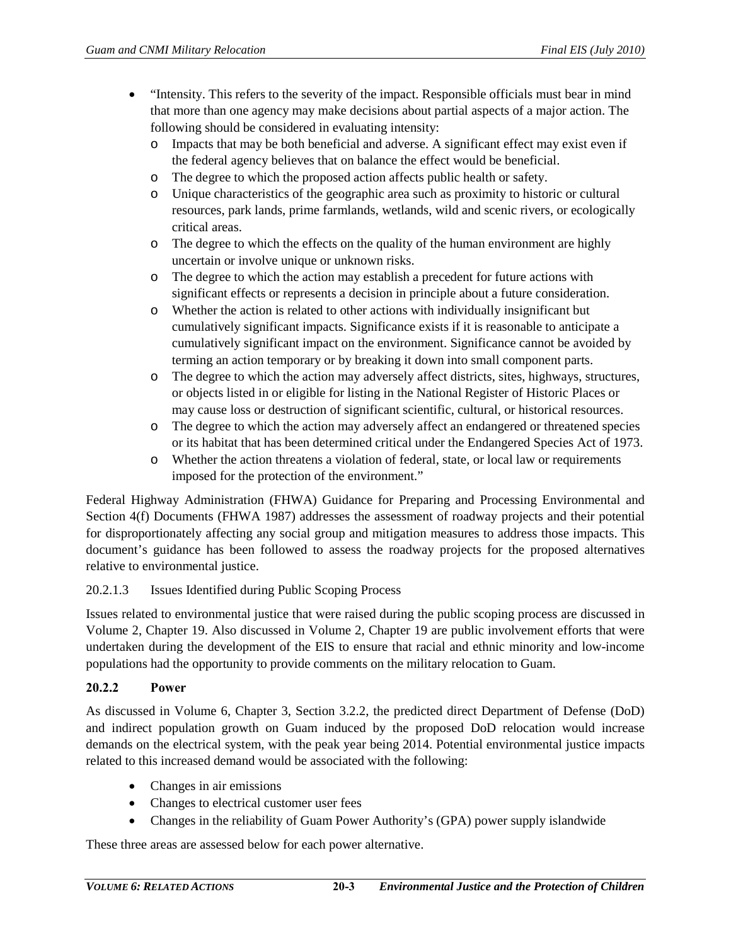- "Intensity. This refers to the severity of the impact. Responsible officials must bear in mind that more than one agency may make decisions about partial aspects of a major action. The following should be considered in evaluating intensity:
	- o Impacts that may be both beneficial and adverse. A significant effect may exist even if the federal agency believes that on balance the effect would be beneficial.
	- o The degree to which the proposed action affects public health or safety.
	- o Unique characteristics of the geographic area such as proximity to historic or cultural resources, park lands, prime farmlands, wetlands, wild and scenic rivers, or ecologically critical areas.
	- o The degree to which the effects on the quality of the human environment are highly uncertain or involve unique or unknown risks.
	- o The degree to which the action may establish a precedent for future actions with significant effects or represents a decision in principle about a future consideration.
	- o Whether the action is related to other actions with individually insignificant but cumulatively significant impacts. Significance exists if it is reasonable to anticipate a cumulatively significant impact on the environment. Significance cannot be avoided by terming an action temporary or by breaking it down into small component parts.
	- o The degree to which the action may adversely affect districts, sites, highways, structures, or objects listed in or eligible for listing in the National Register of Historic Places or may cause loss or destruction of significant scientific, cultural, or historical resources.
	- o The degree to which the action may adversely affect an endangered or threatened species or its habitat that has been determined critical under the Endangered Species Act of 1973.
	- o Whether the action threatens a violation of federal, state, or local law or requirements imposed for the protection of the environment."

Federal Highway Administration (FHWA) Guidance for Preparing and Processing Environmental and Section 4(f) Documents (FHWA 1987) addresses the assessment of roadway projects and their potential for disproportionately affecting any social group and mitigation measures to address those impacts. This document's guidance has been followed to assess the roadway projects for the proposed alternatives relative to environmental justice.

## 20.2.1.3 Issues Identified during Public Scoping Process

Issues related to environmental justice that were raised during the public scoping process are discussed in Volume 2, Chapter 19. Also discussed in Volume 2, Chapter 19 are public involvement efforts that were undertaken during the development of the EIS to ensure that racial and ethnic minority and low-income populations had the opportunity to provide comments on the military relocation to Guam.

## **20.2.2 Power**

As discussed in Volume 6, Chapter 3, Section 3.2.2, the predicted direct Department of Defense (DoD) and indirect population growth on Guam induced by the proposed DoD relocation would increase demands on the electrical system, with the peak year being 2014. Potential environmental justice impacts related to this increased demand would be associated with the following:

- Changes in air emissions
- Changes to electrical customer user fees
- Changes in the reliability of Guam Power Authority's (GPA) power supply islandwide

These three areas are assessed below for each power alternative.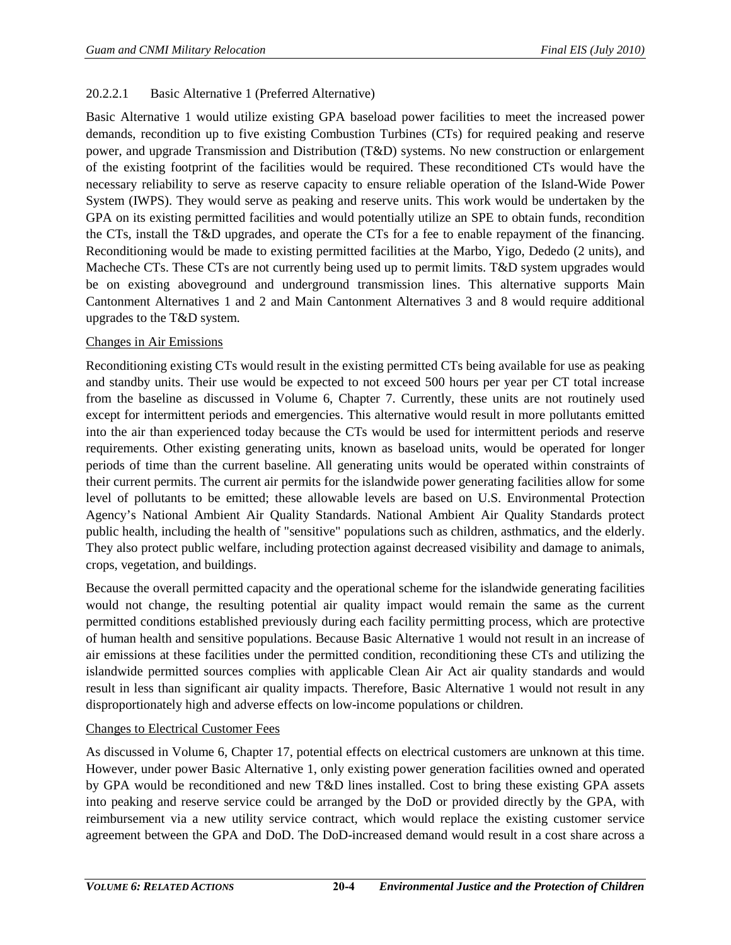# 20.2.2.1 Basic Alternative 1 (Preferred Alternative)

Basic Alternative 1 would utilize existing GPA baseload power facilities to meet the increased power demands, recondition up to five existing Combustion Turbines (CTs) for required peaking and reserve power, and upgrade Transmission and Distribution (T&D) systems. No new construction or enlargement of the existing footprint of the facilities would be required. These reconditioned CTs would have the necessary reliability to serve as reserve capacity to ensure reliable operation of the Island-Wide Power System (IWPS). They would serve as peaking and reserve units. This work would be undertaken by the GPA on its existing permitted facilities and would potentially utilize an SPE to obtain funds, recondition the CTs, install the T&D upgrades, and operate the CTs for a fee to enable repayment of the financing. Reconditioning would be made to existing permitted facilities at the Marbo, Yigo, Dededo (2 units), and Macheche CTs. These CTs are not currently being used up to permit limits. T&D system upgrades would be on existing aboveground and underground transmission lines. This alternative supports Main Cantonment Alternatives 1 and 2 and Main Cantonment Alternatives 3 and 8 would require additional upgrades to the T&D system.

### Changes in Air Emissions

Reconditioning existing CTs would result in the existing permitted CTs being available for use as peaking and standby units. Their use would be expected to not exceed 500 hours per year per CT total increase from the baseline as discussed in Volume 6, Chapter 7. Currently, these units are not routinely used except for intermittent periods and emergencies. This alternative would result in more pollutants emitted into the air than experienced today because the CTs would be used for intermittent periods and reserve requirements. Other existing generating units, known as baseload units, would be operated for longer periods of time than the current baseline. All generating units would be operated within constraints of their current permits. The current air permits for the islandwide power generating facilities allow for some level of pollutants to be emitted; these allowable levels are based on U.S. Environmental Protection Agency's National Ambient Air Quality Standards. National Ambient Air Quality Standards protect public health, including the health of "sensitive" populations such as children, asthmatics, and the elderly. They also protect public welfare, including protection against decreased visibility and damage to animals, crops, vegetation, and buildings.

Because the overall permitted capacity and the operational scheme for the islandwide generating facilities would not change, the resulting potential air quality impact would remain the same as the current permitted conditions established previously during each facility permitting process, which are protective of human health and sensitive populations. Because Basic Alternative 1 would not result in an increase of air emissions at these facilities under the permitted condition, reconditioning these CTs and utilizing the islandwide permitted sources complies with applicable Clean Air Act air quality standards and would result in less than significant air quality impacts. Therefore, Basic Alternative 1 would not result in any disproportionately high and adverse effects on low-income populations or children.

#### Changes to Electrical Customer Fees

As discussed in Volume 6, Chapter 17, potential effects on electrical customers are unknown at this time. However, under power Basic Alternative 1, only existing power generation facilities owned and operated by GPA would be reconditioned and new T&D lines installed. Cost to bring these existing GPA assets into peaking and reserve service could be arranged by the DoD or provided directly by the GPA, with reimbursement via a new utility service contract, which would replace the existing customer service agreement between the GPA and DoD. The DoD-increased demand would result in a cost share across a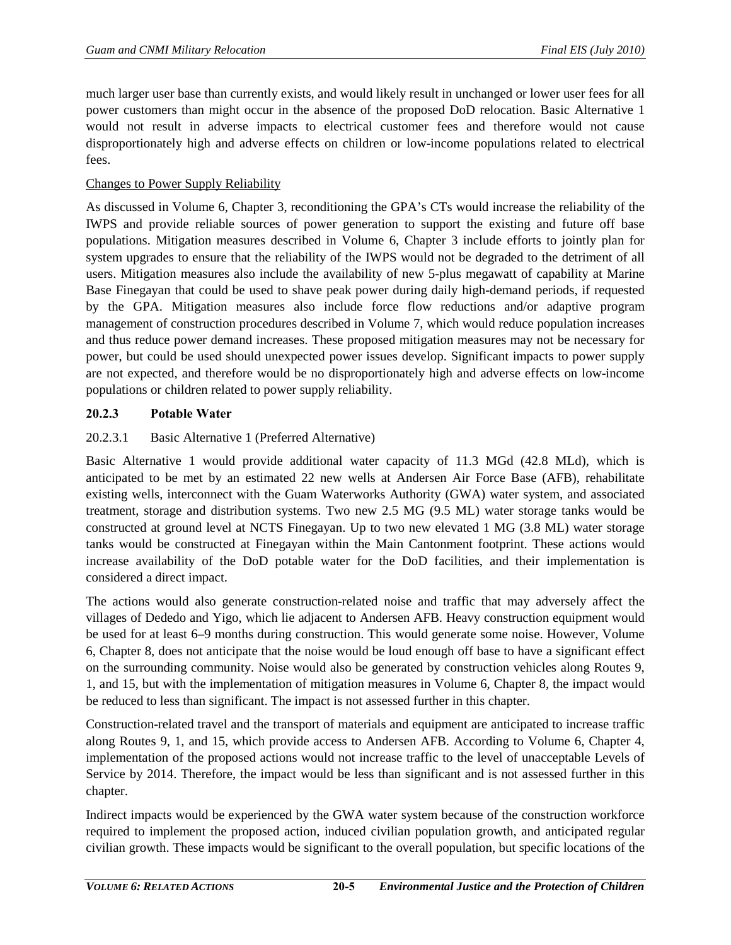much larger user base than currently exists, and would likely result in unchanged or lower user fees for all power customers than might occur in the absence of the proposed DoD relocation. Basic Alternative 1 would not result in adverse impacts to electrical customer fees and therefore would not cause disproportionately high and adverse effects on children or low-income populations related to electrical fees.

# Changes to Power Supply Reliability

As discussed in Volume 6, Chapter 3, reconditioning the GPA's CTs would increase the reliability of the IWPS and provide reliable sources of power generation to support the existing and future off base populations. Mitigation measures described in Volume 6, Chapter 3 include efforts to jointly plan for system upgrades to ensure that the reliability of the IWPS would not be degraded to the detriment of all users. Mitigation measures also include the availability of new 5-plus megawatt of capability at Marine Base Finegayan that could be used to shave peak power during daily high-demand periods, if requested by the GPA. Mitigation measures also include force flow reductions and/or adaptive program management of construction procedures described in Volume 7, which would reduce population increases and thus reduce power demand increases. These proposed mitigation measures may not be necessary for power, but could be used should unexpected power issues develop. Significant impacts to power supply are not expected, and therefore would be no disproportionately high and adverse effects on low-income populations or children related to power supply reliability.

# **20.2.3 Potable Water**

# 20.2.3.1 Basic Alternative 1 (Preferred Alternative)

Basic Alternative 1 would provide additional water capacity of 11.3 MGd (42.8 MLd), which is anticipated to be met by an estimated 22 new wells at Andersen Air Force Base (AFB), rehabilitate existing wells, interconnect with the Guam Waterworks Authority (GWA) water system, and associated treatment, storage and distribution systems. Two new 2.5 MG (9.5 ML) water storage tanks would be constructed at ground level at NCTS Finegayan. Up to two new elevated 1 MG (3.8 ML) water storage tanks would be constructed at Finegayan within the Main Cantonment footprint. These actions would increase availability of the DoD potable water for the DoD facilities, and their implementation is considered a direct impact.

The actions would also generate construction-related noise and traffic that may adversely affect the villages of Dededo and Yigo, which lie adjacent to Andersen AFB. Heavy construction equipment would be used for at least 6–9 months during construction. This would generate some noise. However, Volume 6, Chapter 8, does not anticipate that the noise would be loud enough off base to have a significant effect on the surrounding community. Noise would also be generated by construction vehicles along Routes 9, 1, and 15, but with the implementation of mitigation measures in Volume 6, Chapter 8, the impact would be reduced to less than significant. The impact is not assessed further in this chapter.

Construction-related travel and the transport of materials and equipment are anticipated to increase traffic along Routes 9, 1, and 15, which provide access to Andersen AFB. According to Volume 6, Chapter 4, implementation of the proposed actions would not increase traffic to the level of unacceptable Levels of Service by 2014. Therefore, the impact would be less than significant and is not assessed further in this chapter.

Indirect impacts would be experienced by the GWA water system because of the construction workforce required to implement the proposed action, induced civilian population growth, and anticipated regular civilian growth. These impacts would be significant to the overall population, but specific locations of the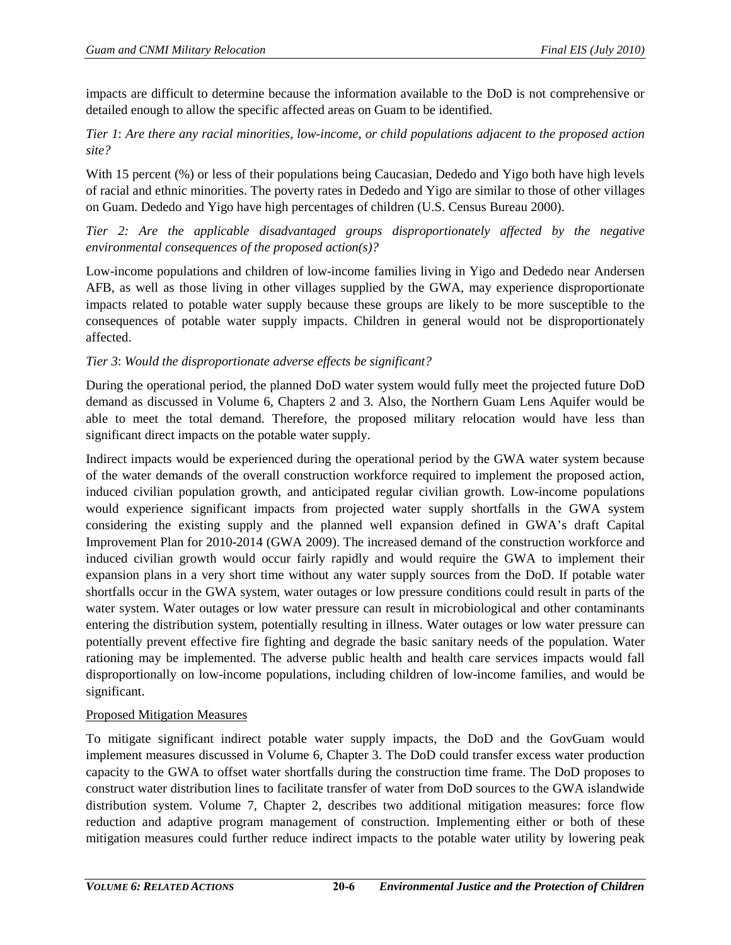impacts are difficult to determine because the information available to the DoD is not comprehensive or detailed enough to allow the specific affected areas on Guam to be identified.

# *Tier 1*: *Are there any racial minorities, low-income, or child populations adjacent to the proposed action site?*

With 15 percent (%) or less of their populations being Caucasian, Dededo and Yigo both have high levels of racial and ethnic minorities. The poverty rates in Dededo and Yigo are similar to those of other villages on Guam. Dededo and Yigo have high percentages of children (U.S. Census Bureau 2000).

*Tier 2: Are the applicable disadvantaged groups disproportionately affected by the negative environmental consequences of the proposed action(s)?* 

Low-income populations and children of low-income families living in Yigo and Dededo near Andersen AFB, as well as those living in other villages supplied by the GWA, may experience disproportionate impacts related to potable water supply because these groups are likely to be more susceptible to the consequences of potable water supply impacts. Children in general would not be disproportionately affected.

# *Tier 3*: *Would the disproportionate adverse effects be significant?*

During the operational period, the planned DoD water system would fully meet the projected future DoD demand as discussed in Volume 6, Chapters 2 and 3. Also, the Northern Guam Lens Aquifer would be able to meet the total demand. Therefore, the proposed military relocation would have less than significant direct impacts on the potable water supply.

Indirect impacts would be experienced during the operational period by the GWA water system because of the water demands of the overall construction workforce required to implement the proposed action, induced civilian population growth, and anticipated regular civilian growth. Low-income populations would experience significant impacts from projected water supply shortfalls in the GWA system considering the existing supply and the planned well expansion defined in GWA's draft Capital Improvement Plan for 2010-2014 (GWA 2009). The increased demand of the construction workforce and induced civilian growth would occur fairly rapidly and would require the GWA to implement their expansion plans in a very short time without any water supply sources from the DoD. If potable water shortfalls occur in the GWA system, water outages or low pressure conditions could result in parts of the water system. Water outages or low water pressure can result in microbiological and other contaminants entering the distribution system, potentially resulting in illness. Water outages or low water pressure can potentially prevent effective fire fighting and degrade the basic sanitary needs of the population. Water rationing may be implemented. The adverse public health and health care services impacts would fall disproportionally on low-income populations, including children of low-income families, and would be significant.

## Proposed Mitigation Measures

To mitigate significant indirect potable water supply impacts, the DoD and the GovGuam would implement measures discussed in Volume 6, Chapter 3. The DoD could transfer excess water production capacity to the GWA to offset water shortfalls during the construction time frame. The DoD proposes to construct water distribution lines to facilitate transfer of water from DoD sources to the GWA islandwide distribution system. Volume 7, Chapter 2, describes two additional mitigation measures: force flow reduction and adaptive program management of construction. Implementing either or both of these mitigation measures could further reduce indirect impacts to the potable water utility by lowering peak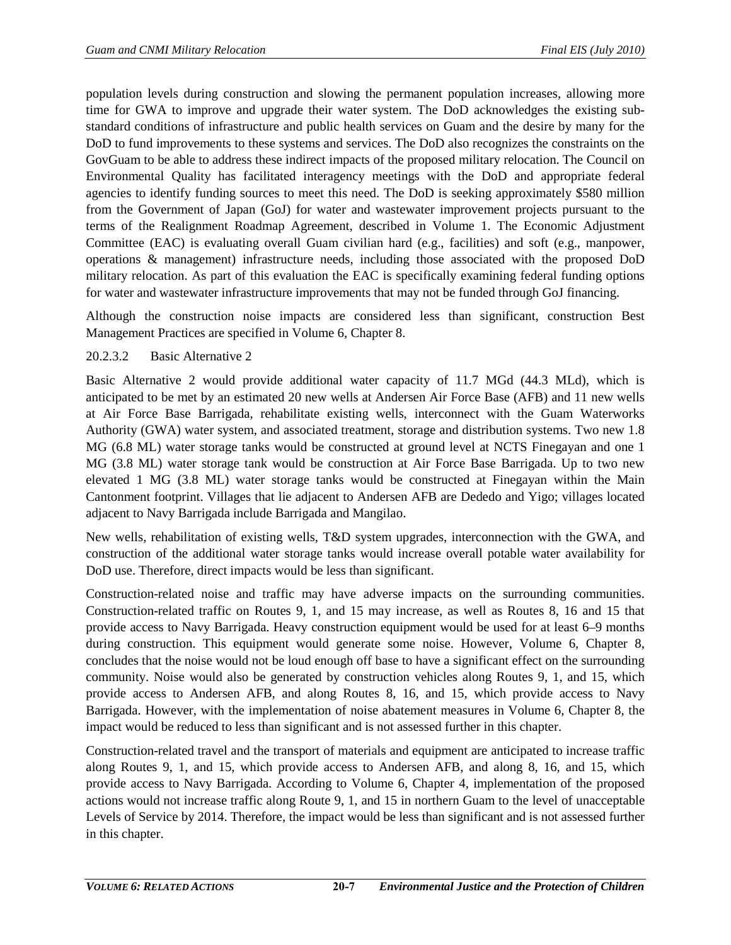population levels during construction and slowing the permanent population increases, allowing more time for GWA to improve and upgrade their water system. The DoD acknowledges the existing substandard conditions of infrastructure and public health services on Guam and the desire by many for the DoD to fund improvements to these systems and services. The DoD also recognizes the constraints on the GovGuam to be able to address these indirect impacts of the proposed military relocation. The Council on Environmental Quality has facilitated interagency meetings with the DoD and appropriate federal agencies to identify funding sources to meet this need. The DoD is seeking approximately \$580 million from the Government of Japan (GoJ) for water and wastewater improvement projects pursuant to the terms of the Realignment Roadmap Agreement, described in Volume 1. The Economic Adjustment Committee (EAC) is evaluating overall Guam civilian hard (e.g., facilities) and soft (e.g., manpower, operations & management) infrastructure needs, including those associated with the proposed DoD military relocation. As part of this evaluation the EAC is specifically examining federal funding options for water and wastewater infrastructure improvements that may not be funded through GoJ financing.

Although the construction noise impacts are considered less than significant, construction Best Management Practices are specified in Volume 6, Chapter 8.

# 20.2.3.2 Basic Alternative 2

Basic Alternative 2 would provide additional water capacity of 11.7 MGd (44.3 MLd), which is anticipated to be met by an estimated 20 new wells at Andersen Air Force Base (AFB) and 11 new wells at Air Force Base Barrigada, rehabilitate existing wells, interconnect with the Guam Waterworks Authority (GWA) water system, and associated treatment, storage and distribution systems. Two new 1.8 MG (6.8 ML) water storage tanks would be constructed at ground level at NCTS Finegayan and one 1 MG (3.8 ML) water storage tank would be construction at Air Force Base Barrigada. Up to two new elevated 1 MG (3.8 ML) water storage tanks would be constructed at Finegayan within the Main Cantonment footprint. Villages that lie adjacent to Andersen AFB are Dededo and Yigo; villages located adjacent to Navy Barrigada include Barrigada and Mangilao.

New wells, rehabilitation of existing wells, T&D system upgrades, interconnection with the GWA, and construction of the additional water storage tanks would increase overall potable water availability for DoD use. Therefore, direct impacts would be less than significant.

Construction-related noise and traffic may have adverse impacts on the surrounding communities. Construction-related traffic on Routes 9, 1, and 15 may increase, as well as Routes 8, 16 and 15 that provide access to Navy Barrigada. Heavy construction equipment would be used for at least 6–9 months during construction. This equipment would generate some noise. However, Volume 6, Chapter 8, concludes that the noise would not be loud enough off base to have a significant effect on the surrounding community. Noise would also be generated by construction vehicles along Routes 9, 1, and 15, which provide access to Andersen AFB, and along Routes 8, 16, and 15, which provide access to Navy Barrigada. However, with the implementation of noise abatement measures in Volume 6, Chapter 8, the impact would be reduced to less than significant and is not assessed further in this chapter.

Construction-related travel and the transport of materials and equipment are anticipated to increase traffic along Routes 9, 1, and 15, which provide access to Andersen AFB, and along 8, 16, and 15, which provide access to Navy Barrigada. According to Volume 6, Chapter 4, implementation of the proposed actions would not increase traffic along Route 9, 1, and 15 in northern Guam to the level of unacceptable Levels of Service by 2014. Therefore, the impact would be less than significant and is not assessed further in this chapter.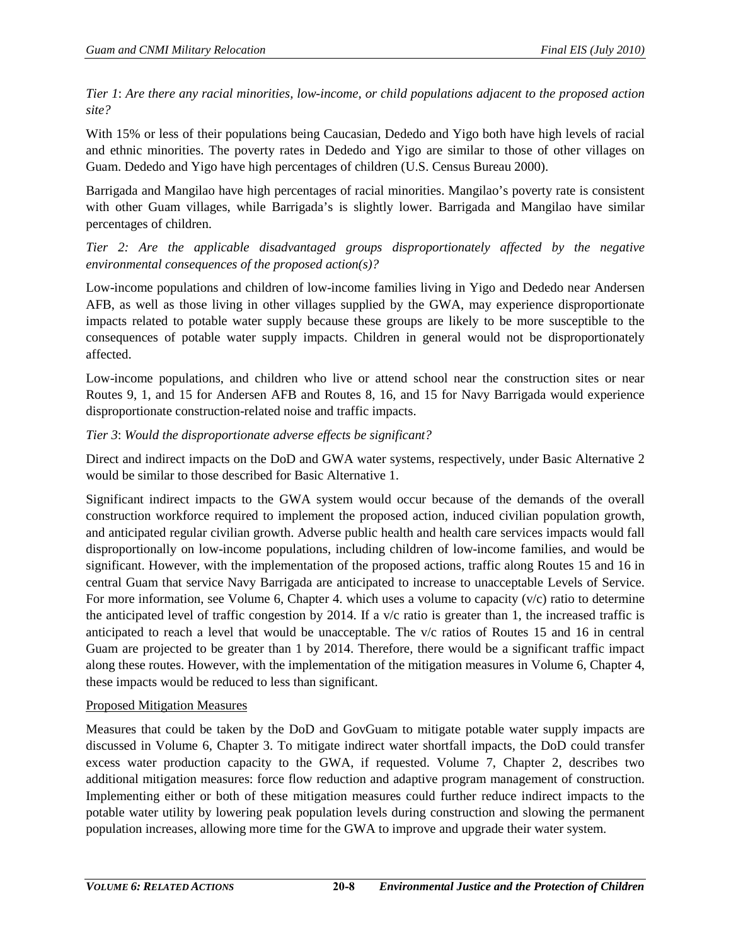*Tier 1*: *Are there any racial minorities, low-income, or child populations adjacent to the proposed action site?*

With 15% or less of their populations being Caucasian, Dededo and Yigo both have high levels of racial and ethnic minorities. The poverty rates in Dededo and Yigo are similar to those of other villages on Guam. Dededo and Yigo have high percentages of children (U.S. Census Bureau 2000).

Barrigada and Mangilao have high percentages of racial minorities. Mangilao's poverty rate is consistent with other Guam villages, while Barrigada's is slightly lower. Barrigada and Mangilao have similar percentages of children.

*Tier 2: Are the applicable disadvantaged groups disproportionately affected by the negative environmental consequences of the proposed action(s)?* 

Low-income populations and children of low-income families living in Yigo and Dededo near Andersen AFB, as well as those living in other villages supplied by the GWA, may experience disproportionate impacts related to potable water supply because these groups are likely to be more susceptible to the consequences of potable water supply impacts. Children in general would not be disproportionately affected.

Low-income populations, and children who live or attend school near the construction sites or near Routes 9, 1, and 15 for Andersen AFB and Routes 8, 16, and 15 for Navy Barrigada would experience disproportionate construction-related noise and traffic impacts.

# *Tier 3*: *Would the disproportionate adverse effects be significant?*

Direct and indirect impacts on the DoD and GWA water systems, respectively, under Basic Alternative 2 would be similar to those described for Basic Alternative 1.

Significant indirect impacts to the GWA system would occur because of the demands of the overall construction workforce required to implement the proposed action, induced civilian population growth, and anticipated regular civilian growth. Adverse public health and health care services impacts would fall disproportionally on low-income populations, including children of low-income families, and would be significant. However, with the implementation of the proposed actions, traffic along Routes 15 and 16 in central Guam that service Navy Barrigada are anticipated to increase to unacceptable Levels of Service. For more information, see Volume 6, Chapter 4. which uses a volume to capacity  $(v/c)$  ratio to determine the anticipated level of traffic congestion by 2014. If a v/c ratio is greater than 1, the increased traffic is anticipated to reach a level that would be unacceptable. The v/c ratios of Routes 15 and 16 in central Guam are projected to be greater than 1 by 2014. Therefore, there would be a significant traffic impact along these routes. However, with the implementation of the mitigation measures in Volume 6, Chapter 4, these impacts would be reduced to less than significant.

# Proposed Mitigation Measures

Measures that could be taken by the DoD and GovGuam to mitigate potable water supply impacts are discussed in Volume 6, Chapter 3. To mitigate indirect water shortfall impacts, the DoD could transfer excess water production capacity to the GWA, if requested. Volume 7, Chapter 2, describes two additional mitigation measures: force flow reduction and adaptive program management of construction. Implementing either or both of these mitigation measures could further reduce indirect impacts to the potable water utility by lowering peak population levels during construction and slowing the permanent population increases, allowing more time for the GWA to improve and upgrade their water system.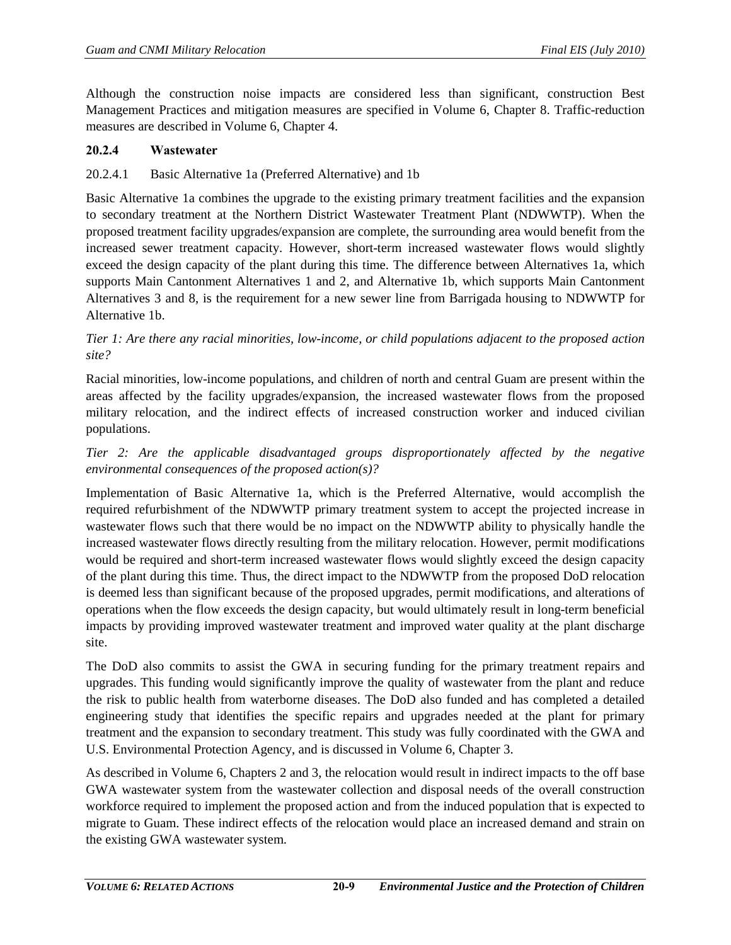Although the construction noise impacts are considered less than significant, construction Best Management Practices and mitigation measures are specified in Volume 6, Chapter 8. Traffic-reduction measures are described in Volume 6, Chapter 4.

## **20.2.4 Wastewater**

## 20.2.4.1 Basic Alternative 1a (Preferred Alternative) and 1b

Basic Alternative 1a combines the upgrade to the existing primary treatment facilities and the expansion to secondary treatment at the Northern District Wastewater Treatment Plant (NDWWTP). When the proposed treatment facility upgrades/expansion are complete, the surrounding area would benefit from the increased sewer treatment capacity. However, short-term increased wastewater flows would slightly exceed the design capacity of the plant during this time. The difference between Alternatives 1a, which supports Main Cantonment Alternatives 1 and 2, and Alternative 1b, which supports Main Cantonment Alternatives 3 and 8, is the requirement for a new sewer line from Barrigada housing to NDWWTP for Alternative 1b.

## *Tier 1: Are there any racial minorities, low-income, or child populations adjacent to the proposed action site?*

Racial minorities, low-income populations, and children of north and central Guam are present within the areas affected by the facility upgrades/expansion, the increased wastewater flows from the proposed military relocation, and the indirect effects of increased construction worker and induced civilian populations.

# *Tier 2: Are the applicable disadvantaged groups disproportionately affected by the negative environmental consequences of the proposed action(s)?*

Implementation of Basic Alternative 1a, which is the Preferred Alternative, would accomplish the required refurbishment of the NDWWTP primary treatment system to accept the projected increase in wastewater flows such that there would be no impact on the NDWWTP ability to physically handle the increased wastewater flows directly resulting from the military relocation. However, permit modifications would be required and short-term increased wastewater flows would slightly exceed the design capacity of the plant during this time. Thus, the direct impact to the NDWWTP from the proposed DoD relocation is deemed less than significant because of the proposed upgrades, permit modifications, and alterations of operations when the flow exceeds the design capacity, but would ultimately result in long-term beneficial impacts by providing improved wastewater treatment and improved water quality at the plant discharge site.

The DoD also commits to assist the GWA in securing funding for the primary treatment repairs and upgrades. This funding would significantly improve the quality of wastewater from the plant and reduce the risk to public health from waterborne diseases. The DoD also funded and has completed a detailed engineering study that identifies the specific repairs and upgrades needed at the plant for primary treatment and the expansion to secondary treatment. This study was fully coordinated with the GWA and U.S. Environmental Protection Agency, and is discussed in Volume 6, Chapter 3.

As described in Volume 6, Chapters 2 and 3, the relocation would result in indirect impacts to the off base GWA wastewater system from the wastewater collection and disposal needs of the overall construction workforce required to implement the proposed action and from the induced population that is expected to migrate to Guam. These indirect effects of the relocation would place an increased demand and strain on the existing GWA wastewater system.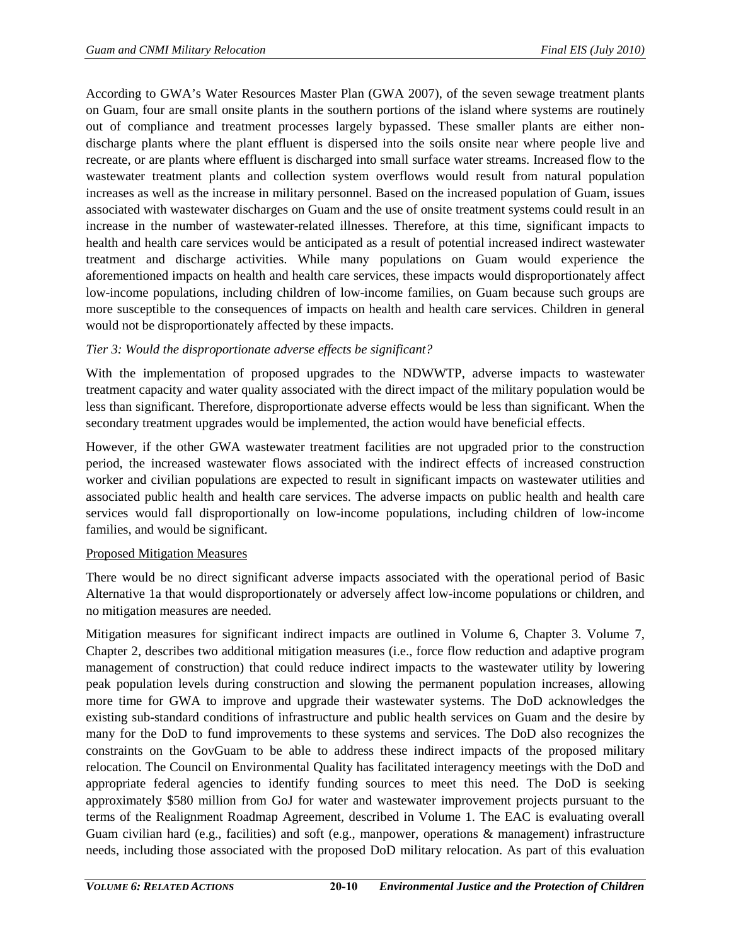According to GWA's Water Resources Master Plan (GWA 2007), of the seven sewage treatment plants on Guam, four are small onsite plants in the southern portions of the island where systems are routinely out of compliance and treatment processes largely bypassed. These smaller plants are either nondischarge plants where the plant effluent is dispersed into the soils onsite near where people live and recreate, or are plants where effluent is discharged into small surface water streams. Increased flow to the wastewater treatment plants and collection system overflows would result from natural population increases as well as the increase in military personnel. Based on the increased population of Guam, issues associated with wastewater discharges on Guam and the use of onsite treatment systems could result in an increase in the number of wastewater-related illnesses. Therefore, at this time, significant impacts to health and health care services would be anticipated as a result of potential increased indirect wastewater treatment and discharge activities. While many populations on Guam would experience the aforementioned impacts on health and health care services, these impacts would disproportionately affect low-income populations, including children of low-income families, on Guam because such groups are more susceptible to the consequences of impacts on health and health care services. Children in general would not be disproportionately affected by these impacts.

# *Tier 3: Would the disproportionate adverse effects be significant?*

With the implementation of proposed upgrades to the NDWWTP, adverse impacts to wastewater treatment capacity and water quality associated with the direct impact of the military population would be less than significant. Therefore, disproportionate adverse effects would be less than significant. When the secondary treatment upgrades would be implemented, the action would have beneficial effects.

However, if the other GWA wastewater treatment facilities are not upgraded prior to the construction period, the increased wastewater flows associated with the indirect effects of increased construction worker and civilian populations are expected to result in significant impacts on wastewater utilities and associated public health and health care services. The adverse impacts on public health and health care services would fall disproportionally on low-income populations, including children of low-income families, and would be significant.

## Proposed Mitigation Measures

There would be no direct significant adverse impacts associated with the operational period of Basic Alternative 1a that would disproportionately or adversely affect low-income populations or children, and no mitigation measures are needed.

Mitigation measures for significant indirect impacts are outlined in Volume 6, Chapter 3. Volume 7, Chapter 2, describes two additional mitigation measures (i.e., force flow reduction and adaptive program management of construction) that could reduce indirect impacts to the wastewater utility by lowering peak population levels during construction and slowing the permanent population increases, allowing more time for GWA to improve and upgrade their wastewater systems. The DoD acknowledges the existing sub-standard conditions of infrastructure and public health services on Guam and the desire by many for the DoD to fund improvements to these systems and services. The DoD also recognizes the constraints on the GovGuam to be able to address these indirect impacts of the proposed military relocation. The Council on Environmental Quality has facilitated interagency meetings with the DoD and appropriate federal agencies to identify funding sources to meet this need. The DoD is seeking approximately \$580 million from GoJ for water and wastewater improvement projects pursuant to the terms of the Realignment Roadmap Agreement, described in Volume 1. The EAC is evaluating overall Guam civilian hard (e.g., facilities) and soft (e.g., manpower, operations & management) infrastructure needs, including those associated with the proposed DoD military relocation. As part of this evaluation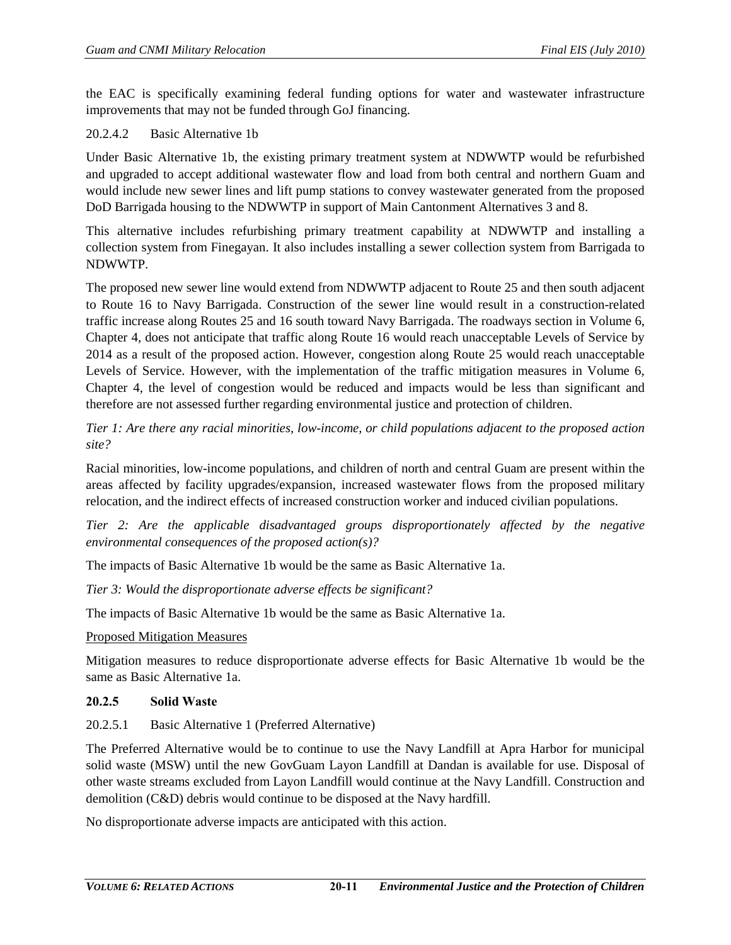the EAC is specifically examining federal funding options for water and wastewater infrastructure improvements that may not be funded through GoJ financing.

### 20.2.4.2 Basic Alternative 1b

Under Basic Alternative 1b, the existing primary treatment system at NDWWTP would be refurbished and upgraded to accept additional wastewater flow and load from both central and northern Guam and would include new sewer lines and lift pump stations to convey wastewater generated from the proposed DoD Barrigada housing to the NDWWTP in support of Main Cantonment Alternatives 3 and 8.

This alternative includes refurbishing primary treatment capability at NDWWTP and installing a collection system from Finegayan. It also includes installing a sewer collection system from Barrigada to NDWWTP.

The proposed new sewer line would extend from NDWWTP adjacent to Route 25 and then south adjacent to Route 16 to Navy Barrigada. Construction of the sewer line would result in a construction-related traffic increase along Routes 25 and 16 south toward Navy Barrigada. The roadways section in Volume 6, Chapter 4, does not anticipate that traffic along Route 16 would reach unacceptable Levels of Service by 2014 as a result of the proposed action. However, congestion along Route 25 would reach unacceptable Levels of Service. However, with the implementation of the traffic mitigation measures in Volume 6, Chapter 4, the level of congestion would be reduced and impacts would be less than significant and therefore are not assessed further regarding environmental justice and protection of children.

*Tier 1: Are there any racial minorities, low-income, or child populations adjacent to the proposed action site?*

Racial minorities, low-income populations, and children of north and central Guam are present within the areas affected by facility upgrades/expansion, increased wastewater flows from the proposed military relocation, and the indirect effects of increased construction worker and induced civilian populations.

*Tier 2: Are the applicable disadvantaged groups disproportionately affected by the negative environmental consequences of the proposed action(s)?* 

The impacts of Basic Alternative 1b would be the same as Basic Alternative 1a.

*Tier 3: Would the disproportionate adverse effects be significant?* 

The impacts of Basic Alternative 1b would be the same as Basic Alternative 1a.

#### Proposed Mitigation Measures

Mitigation measures to reduce disproportionate adverse effects for Basic Alternative 1b would be the same as Basic Alternative 1a.

#### **20.2.5 Solid Waste**

20.2.5.1 Basic Alternative 1 (Preferred Alternative)

The Preferred Alternative would be to continue to use the Navy Landfill at Apra Harbor for municipal solid waste (MSW) until the new GovGuam Layon Landfill at Dandan is available for use. Disposal of other waste streams excluded from Layon Landfill would continue at the Navy Landfill. Construction and demolition (C&D) debris would continue to be disposed at the Navy hardfill.

No disproportionate adverse impacts are anticipated with this action.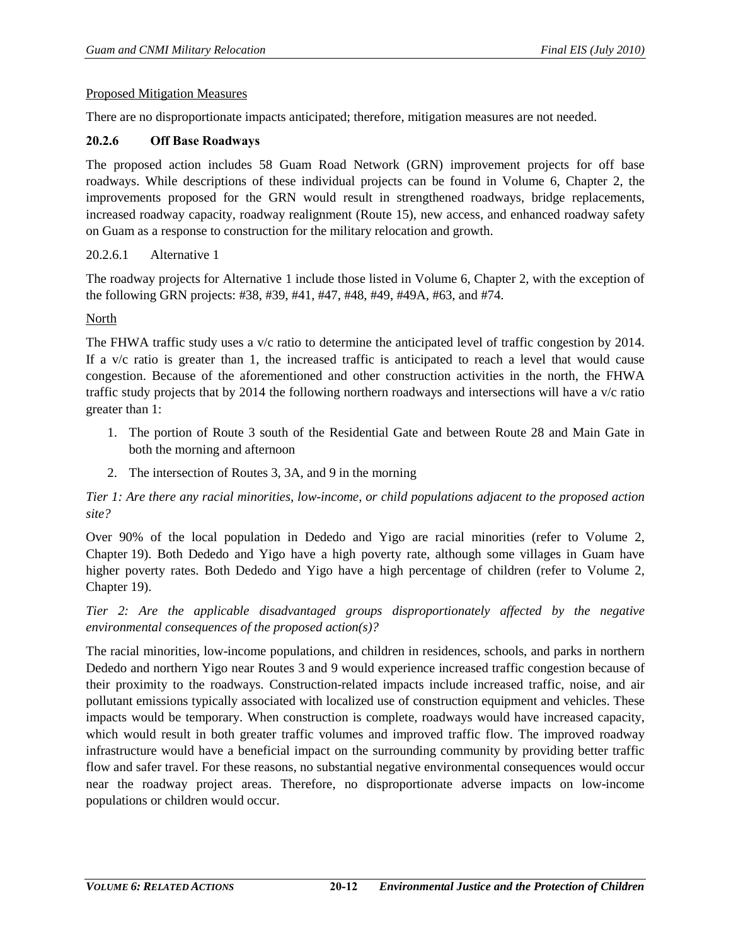#### Proposed Mitigation Measures

There are no disproportionate impacts anticipated; therefore, mitigation measures are not needed.

### **20.2.6 Off Base Roadways**

The proposed action includes 58 Guam Road Network (GRN) improvement projects for off base roadways. While descriptions of these individual projects can be found in Volume 6, Chapter 2, the improvements proposed for the GRN would result in strengthened roadways, bridge replacements, increased roadway capacity, roadway realignment (Route 15), new access, and enhanced roadway safety on Guam as a response to construction for the military relocation and growth.

### 20.2.6.1 Alternative 1

The roadway projects for Alternative 1 include those listed in Volume 6, Chapter 2, with the exception of the following GRN projects: #38, #39, #41, #47, #48, #49, #49A, #63, and #74.

### North

The FHWA traffic study uses a v/c ratio to determine the anticipated level of traffic congestion by 2014. If a v/c ratio is greater than 1, the increased traffic is anticipated to reach a level that would cause congestion. Because of the aforementioned and other construction activities in the north, the FHWA traffic study projects that by 2014 the following northern roadways and intersections will have a v/c ratio greater than 1:

- 1. The portion of Route 3 south of the Residential Gate and between Route 28 and Main Gate in both the morning and afternoon
- 2. The intersection of Routes 3, 3A, and 9 in the morning

*Tier 1: Are there any racial minorities, low-income, or child populations adjacent to the proposed action site?*

Over 90% of the local population in Dededo and Yigo are racial minorities (refer to Volume 2, Chapter 19). Both Dededo and Yigo have a high poverty rate, although some villages in Guam have higher poverty rates. Both Dededo and Yigo have a high percentage of children (refer to Volume 2, Chapter 19).

## *Tier 2: Are the applicable disadvantaged groups disproportionately affected by the negative environmental consequences of the proposed action(s)?*

The racial minorities, low-income populations, and children in residences, schools, and parks in northern Dededo and northern Yigo near Routes 3 and 9 would experience increased traffic congestion because of their proximity to the roadways. Construction-related impacts include increased traffic, noise, and air pollutant emissions typically associated with localized use of construction equipment and vehicles. These impacts would be temporary. When construction is complete, roadways would have increased capacity, which would result in both greater traffic volumes and improved traffic flow. The improved roadway infrastructure would have a beneficial impact on the surrounding community by providing better traffic flow and safer travel. For these reasons, no substantial negative environmental consequences would occur near the roadway project areas. Therefore, no disproportionate adverse impacts on low-income populations or children would occur.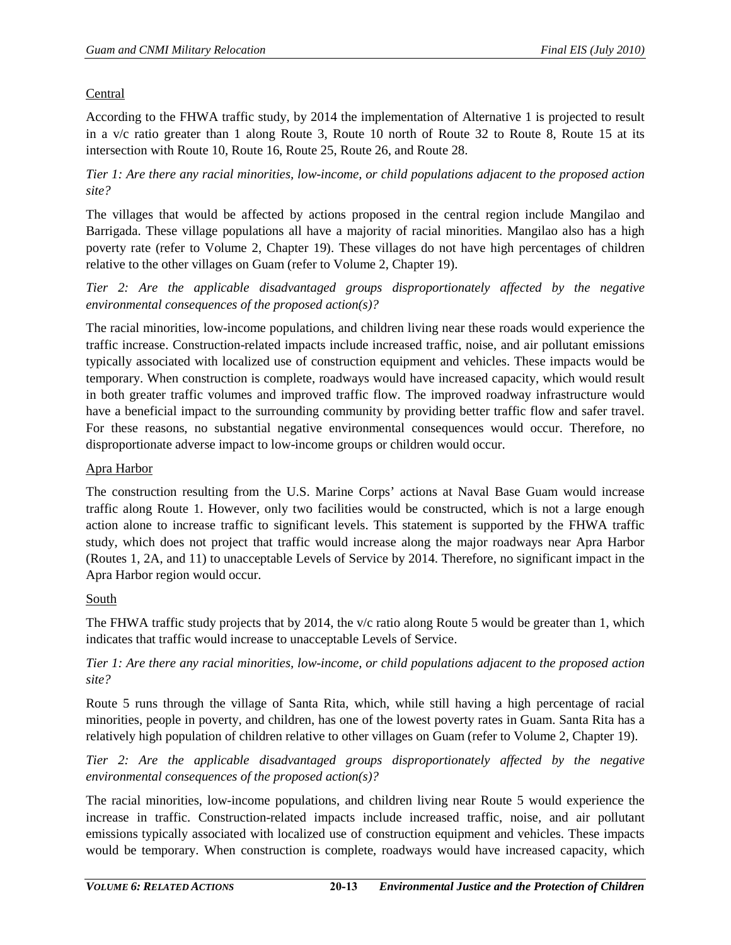# Central

According to the FHWA traffic study, by 2014 the implementation of Alternative 1 is projected to result in a v/c ratio greater than 1 along Route 3, Route 10 north of Route 32 to Route 8, Route 15 at its intersection with Route 10, Route 16, Route 25, Route 26, and Route 28.

*Tier 1: Are there any racial minorities, low-income, or child populations adjacent to the proposed action site?*

The villages that would be affected by actions proposed in the central region include Mangilao and Barrigada. These village populations all have a majority of racial minorities. Mangilao also has a high poverty rate (refer to Volume 2, Chapter 19). These villages do not have high percentages of children relative to the other villages on Guam (refer to Volume 2, Chapter 19).

*Tier 2: Are the applicable disadvantaged groups disproportionately affected by the negative environmental consequences of the proposed action(s)?* 

The racial minorities, low-income populations, and children living near these roads would experience the traffic increase. Construction-related impacts include increased traffic, noise, and air pollutant emissions typically associated with localized use of construction equipment and vehicles. These impacts would be temporary. When construction is complete, roadways would have increased capacity, which would result in both greater traffic volumes and improved traffic flow. The improved roadway infrastructure would have a beneficial impact to the surrounding community by providing better traffic flow and safer travel. For these reasons, no substantial negative environmental consequences would occur. Therefore, no disproportionate adverse impact to low-income groups or children would occur.

## Apra Harbor

The construction resulting from the U.S. Marine Corps' actions at Naval Base Guam would increase traffic along Route 1. However, only two facilities would be constructed, which is not a large enough action alone to increase traffic to significant levels. This statement is supported by the FHWA traffic study, which does not project that traffic would increase along the major roadways near Apra Harbor (Routes 1, 2A, and 11) to unacceptable Levels of Service by 2014. Therefore, no significant impact in the Apra Harbor region would occur.

## South

The FHWA traffic study projects that by 2014, the v/c ratio along Route 5 would be greater than 1, which indicates that traffic would increase to unacceptable Levels of Service.

*Tier 1: Are there any racial minorities, low-income, or child populations adjacent to the proposed action site?*

Route 5 runs through the village of Santa Rita, which, while still having a high percentage of racial minorities, people in poverty, and children, has one of the lowest poverty rates in Guam. Santa Rita has a relatively high population of children relative to other villages on Guam (refer to Volume 2, Chapter 19).

*Tier 2: Are the applicable disadvantaged groups disproportionately affected by the negative environmental consequences of the proposed action(s)?* 

The racial minorities, low-income populations, and children living near Route 5 would experience the increase in traffic. Construction-related impacts include increased traffic, noise, and air pollutant emissions typically associated with localized use of construction equipment and vehicles. These impacts would be temporary. When construction is complete, roadways would have increased capacity, which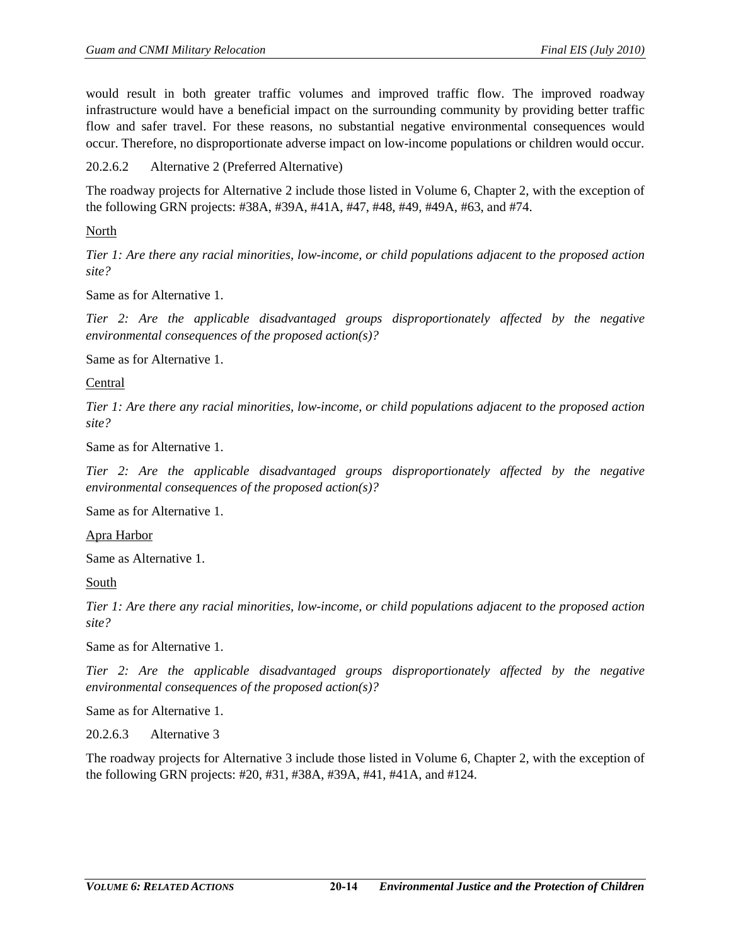would result in both greater traffic volumes and improved traffic flow. The improved roadway infrastructure would have a beneficial impact on the surrounding community by providing better traffic flow and safer travel. For these reasons, no substantial negative environmental consequences would occur. Therefore, no disproportionate adverse impact on low-income populations or children would occur.

20.2.6.2 Alternative 2 (Preferred Alternative)

The roadway projects for Alternative 2 include those listed in Volume 6, Chapter 2, with the exception of the following GRN projects: #38A, #39A, #41A, #47, #48, #49, #49A, #63, and #74.

North

*Tier 1: Are there any racial minorities, low-income, or child populations adjacent to the proposed action site?*

Same as for Alternative 1.

*Tier 2: Are the applicable disadvantaged groups disproportionately affected by the negative environmental consequences of the proposed action(s)?* 

Same as for Alternative 1.

Central

*Tier 1: Are there any racial minorities, low-income, or child populations adjacent to the proposed action site?* 

Same as for Alternative 1.

*Tier 2: Are the applicable disadvantaged groups disproportionately affected by the negative environmental consequences of the proposed action(s)?* 

Same as for Alternative 1.

Apra Harbor

Same as Alternative 1.

South

*Tier 1: Are there any racial minorities, low-income, or child populations adjacent to the proposed action site?* 

Same as for Alternative 1.

*Tier 2: Are the applicable disadvantaged groups disproportionately affected by the negative environmental consequences of the proposed action(s)?* 

Same as for Alternative 1.

20.2.6.3 Alternative 3

The roadway projects for Alternative 3 include those listed in Volume 6, Chapter 2, with the exception of the following GRN projects: #20, #31, #38A, #39A, #41, #41A, and #124.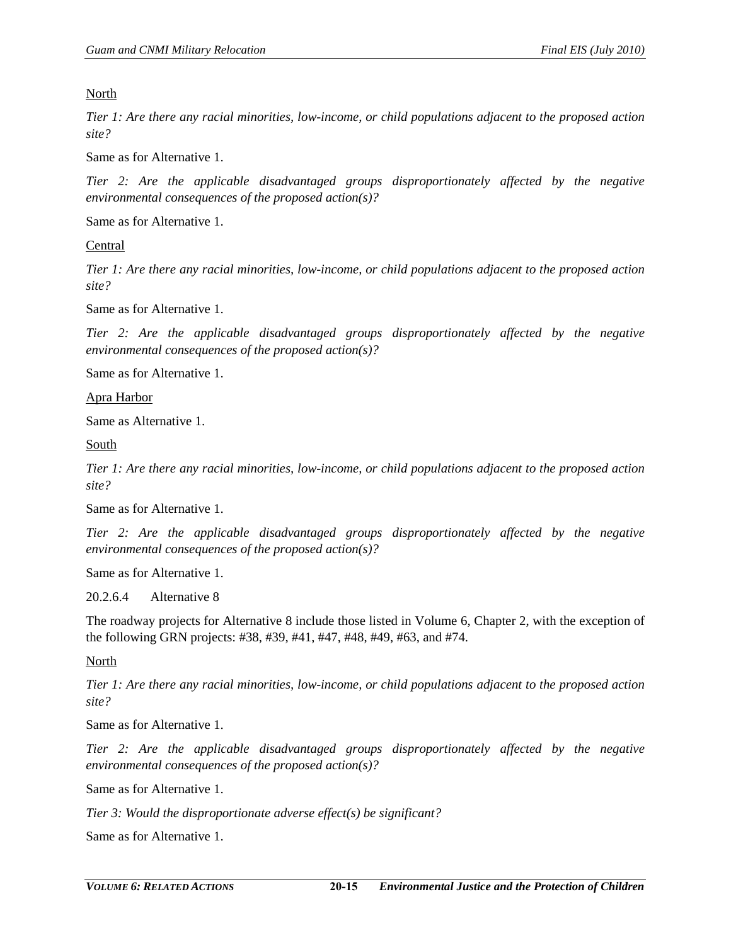North

*Tier 1: Are there any racial minorities, low-income, or child populations adjacent to the proposed action site?* 

Same as for Alternative 1.

*Tier 2: Are the applicable disadvantaged groups disproportionately affected by the negative environmental consequences of the proposed action(s)?* 

Same as for Alternative 1.

Central

*Tier 1: Are there any racial minorities, low-income, or child populations adjacent to the proposed action site?* 

Same as for Alternative 1.

*Tier 2: Are the applicable disadvantaged groups disproportionately affected by the negative environmental consequences of the proposed action(s)?* 

Same as for Alternative 1.

Apra Harbor

Same as Alternative 1.

South

*Tier 1: Are there any racial minorities, low-income, or child populations adjacent to the proposed action site?* 

Same as for Alternative 1.

*Tier 2: Are the applicable disadvantaged groups disproportionately affected by the negative environmental consequences of the proposed action(s)?* 

Same as for Alternative 1.

20.2.6.4 Alternative 8

The roadway projects for Alternative 8 include those listed in Volume 6, Chapter 2, with the exception of the following GRN projects: #38, #39, #41, #47, #48, #49, #63, and #74.

North

*Tier 1: Are there any racial minorities, low-income, or child populations adjacent to the proposed action site?* 

Same as for Alternative 1.

*Tier 2: Are the applicable disadvantaged groups disproportionately affected by the negative environmental consequences of the proposed action(s)?* 

Same as for Alternative 1.

*Tier 3: Would the disproportionate adverse effect(s) be significant?* 

Same as for Alternative 1.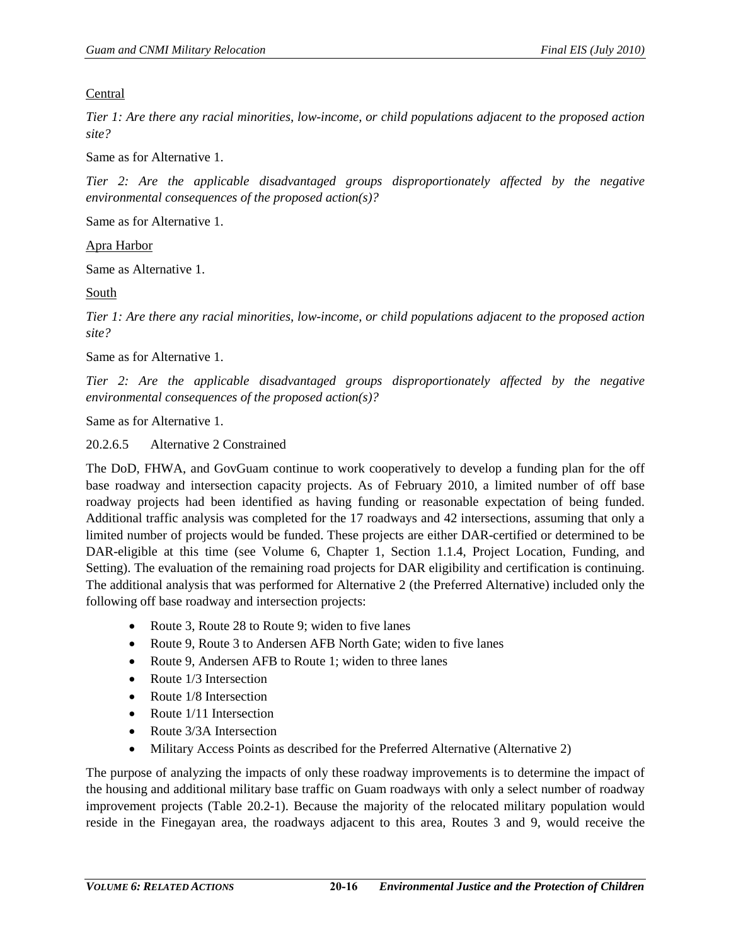### Central

*Tier 1: Are there any racial minorities, low-income, or child populations adjacent to the proposed action site?* 

Same as for Alternative 1.

*Tier 2: Are the applicable disadvantaged groups disproportionately affected by the negative environmental consequences of the proposed action(s)?* 

Same as for Alternative 1.

Apra Harbor

Same as Alternative 1.

South

*Tier 1: Are there any racial minorities, low-income, or child populations adjacent to the proposed action site?* 

Same as for Alternative 1.

*Tier 2: Are the applicable disadvantaged groups disproportionately affected by the negative environmental consequences of the proposed action(s)?* 

Same as for Alternative 1.

20.2.6.5 Alternative 2 Constrained

The DoD, FHWA, and GovGuam continue to work cooperatively to develop a funding plan for the off base roadway and intersection capacity projects. As of February 2010, a limited number of off base roadway projects had been identified as having funding or reasonable expectation of being funded. Additional traffic analysis was completed for the 17 roadways and 42 intersections, assuming that only a limited number of projects would be funded. These projects are either DAR-certified or determined to be DAR-eligible at this time (see Volume 6, Chapter 1, Section 1.1.4, Project Location, Funding, and Setting). The evaluation of the remaining road projects for DAR eligibility and certification is continuing. The additional analysis that was performed for Alternative 2 (the Preferred Alternative) included only the following off base roadway and intersection projects:

- Route 3, Route 28 to Route 9; widen to five lanes
- Route 9, Route 3 to Andersen AFB North Gate; widen to five lanes
- Route 9, Andersen AFB to Route 1; widen to three lanes
- Route 1/3 Intersection
- Route 1/8 Intersection
- Route 1/11 Intersection
- Route 3/3A Intersection
- Military Access Points as described for the Preferred Alternative (Alternative 2)

The purpose of analyzing the impacts of only these roadway improvements is to determine the impact of the housing and additional military base traffic on Guam roadways with only a select number of roadway improvement projects [\(Table 20.2-1\)](#page-16-0). Because the majority of the relocated military population would reside in the Finegayan area, the roadways adjacent to this area, Routes 3 and 9, would receive the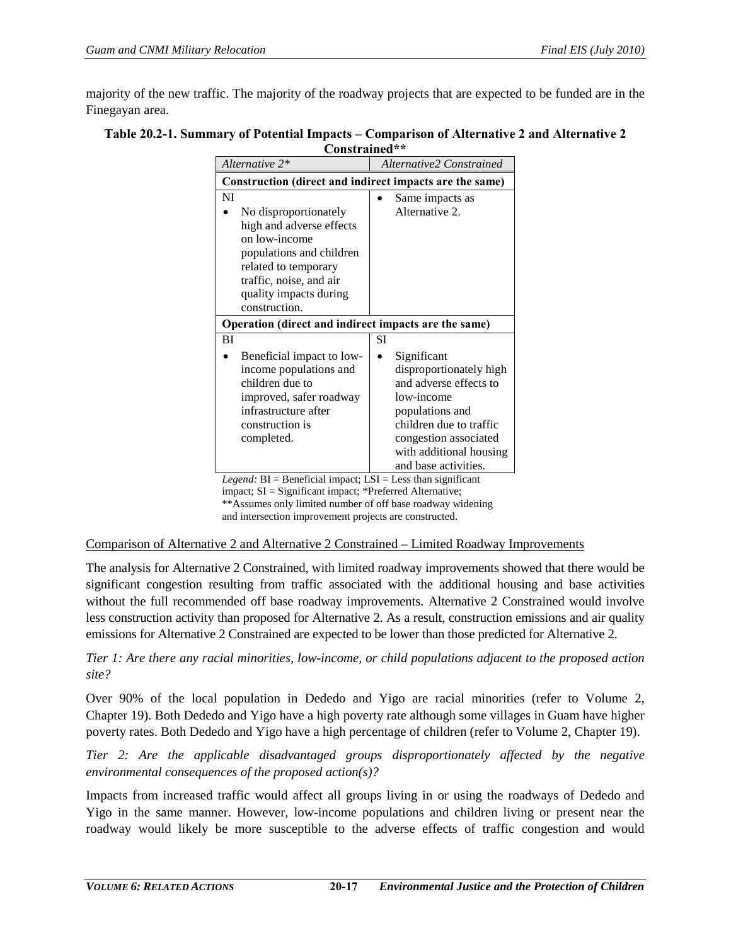majority of the new traffic. The majority of the roadway projects that are expected to be funded are in the Finegayan area.

<span id="page-16-0"></span>

| Table 20.2-1. Summary of Potential Impacts – Comparison of Alternative 2 and Alternative 2 |
|--------------------------------------------------------------------------------------------|
| Constrained**                                                                              |

| Alternative 2*                                                                                                                                                                                     | Alternative2 Constrained                                                                                                                                                                                 |  |  |  |  |
|----------------------------------------------------------------------------------------------------------------------------------------------------------------------------------------------------|----------------------------------------------------------------------------------------------------------------------------------------------------------------------------------------------------------|--|--|--|--|
| Construction (direct and indirect impacts are the same)                                                                                                                                            |                                                                                                                                                                                                          |  |  |  |  |
| NI<br>No disproportionately<br>high and adverse effects<br>on low-income<br>populations and children<br>related to temporary<br>traffic, noise, and air<br>quality impacts during<br>construction. | Same impacts as<br>Alternative 2.                                                                                                                                                                        |  |  |  |  |
| Operation (direct and indirect impacts are the same)                                                                                                                                               |                                                                                                                                                                                                          |  |  |  |  |
| BI                                                                                                                                                                                                 | SІ                                                                                                                                                                                                       |  |  |  |  |
| Beneficial impact to low-<br>income populations and<br>children due to<br>improved, safer roadway<br>infrastructure after<br>construction is<br>completed.                                         | Significant<br>disproportionately high<br>and adverse effects to<br>low-income<br>populations and<br>children due to traffic<br>congestion associated<br>with additional housing<br>and base activities. |  |  |  |  |

*Legend:* BI = Beneficial impact; LSI = Less than significant impact; SI = Significant impact; \*Preferred Alternative; \*\*Assumes only limited number of off base roadway widening and intersection improvement projects are constructed.

Comparison of Alternative 2 and Alternative 2 Constrained – Limited Roadway Improvements

The analysis for Alternative 2 Constrained, with limited roadway improvements showed that there would be significant congestion resulting from traffic associated with the additional housing and base activities without the full recommended off base roadway improvements. Alternative 2 Constrained would involve less construction activity than proposed for Alternative 2. As a result, construction emissions and air quality emissions for Alternative 2 Constrained are expected to be lower than those predicted for Alternative 2.

*Tier 1: Are there any racial minorities, low-income, or child populations adjacent to the proposed action site?* 

Over 90% of the local population in Dededo and Yigo are racial minorities (refer to Volume 2, Chapter 19). Both Dededo and Yigo have a high poverty rate although some villages in Guam have higher poverty rates. Both Dededo and Yigo have a high percentage of children (refer to Volume 2, Chapter 19).

*Tier 2: Are the applicable disadvantaged groups disproportionately affected by the negative environmental consequences of the proposed action(s)?* 

Impacts from increased traffic would affect all groups living in or using the roadways of Dededo and Yigo in the same manner. However, low-income populations and children living or present near the roadway would likely be more susceptible to the adverse effects of traffic congestion and would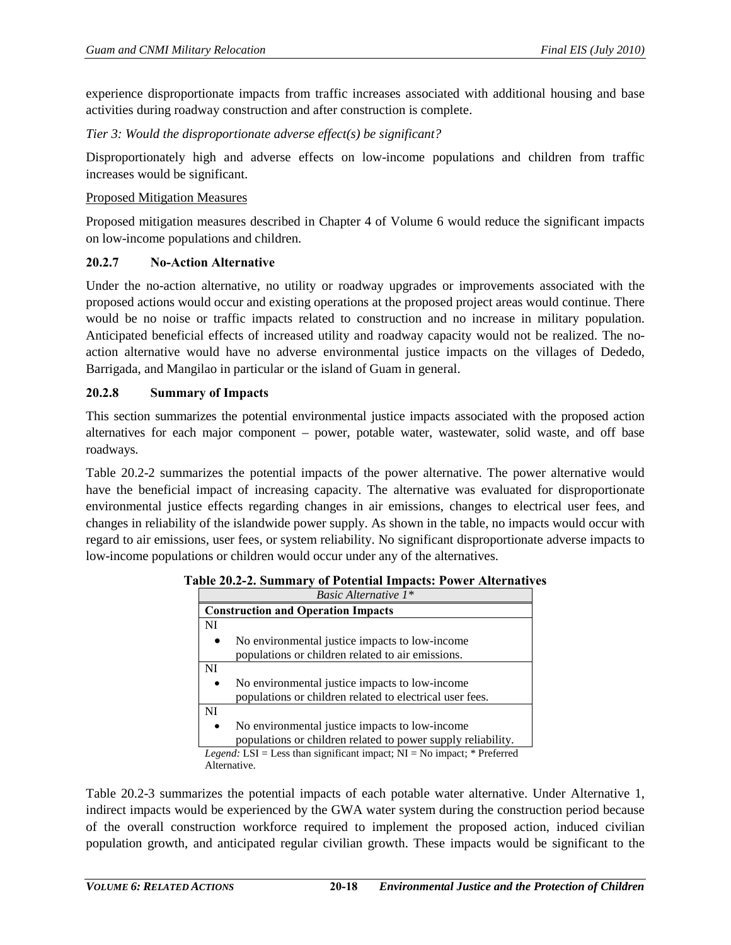experience disproportionate impacts from traffic increases associated with additional housing and base activities during roadway construction and after construction is complete.

*Tier 3: Would the disproportionate adverse effect(s) be significant?* 

Disproportionately high and adverse effects on low-income populations and children from traffic increases would be significant.

### Proposed Mitigation Measures

Proposed mitigation measures described in Chapter 4 of Volume 6 would reduce the significant impacts on low-income populations and children.

# **20.2.7 No-Action Alternative**

Under the no-action alternative, no utility or roadway upgrades or improvements associated with the proposed actions would occur and existing operations at the proposed project areas would continue. There would be no noise or traffic impacts related to construction and no increase in military population. Anticipated beneficial effects of increased utility and roadway capacity would not be realized. The noaction alternative would have no adverse environmental justice impacts on the villages of Dededo, Barrigada, and Mangilao in particular or the island of Guam in general.

### **20.2.8 Summary of Impacts**

This section summarizes the potential environmental justice impacts associated with the proposed action alternatives for each major component – power, potable water, wastewater, solid waste, and off base roadways.

[Table 20.2-2](#page-17-0) summarizes the potential impacts of the power alternative. The power alternative would have the beneficial impact of increasing capacity. The alternative was evaluated for disproportionate environmental justice effects regarding changes in air emissions, changes to electrical user fees, and changes in reliability of the islandwide power supply. As shown in the table, no impacts would occur with regard to air emissions, user fees, or system reliability. No significant disproportionate adverse impacts to low-income populations or children would occur under any of the alternatives.

| Basic Alternative 1*                                                            |  |  |  |  |
|---------------------------------------------------------------------------------|--|--|--|--|
| <b>Construction and Operation Impacts</b>                                       |  |  |  |  |
| NI                                                                              |  |  |  |  |
| No environmental justice impacts to low-income                                  |  |  |  |  |
| populations or children related to air emissions.                               |  |  |  |  |
| NI                                                                              |  |  |  |  |
| No environmental justice impacts to low-income                                  |  |  |  |  |
| populations or children related to electrical user fees.                        |  |  |  |  |
| NI                                                                              |  |  |  |  |
| No environmental justice impacts to low-income<br>٠                             |  |  |  |  |
| populations or children related to power supply reliability.                    |  |  |  |  |
| <i>Legend</i> : LSI = Less than significant impact; NI = No impact; * Preferred |  |  |  |  |
| Alternative.                                                                    |  |  |  |  |

<span id="page-17-0"></span>

| Table 20.2-2. Summary of Potential Impacts: Power Alternatives |  |  |  |  |  |  |
|----------------------------------------------------------------|--|--|--|--|--|--|
|----------------------------------------------------------------|--|--|--|--|--|--|

[Table 20.2-3](#page-18-0) summarizes the potential impacts of each potable water alternative. Under Alternative 1, indirect impacts would be experienced by the GWA water system during the construction period because of the overall construction workforce required to implement the proposed action, induced civilian population growth, and anticipated regular civilian growth. These impacts would be significant to the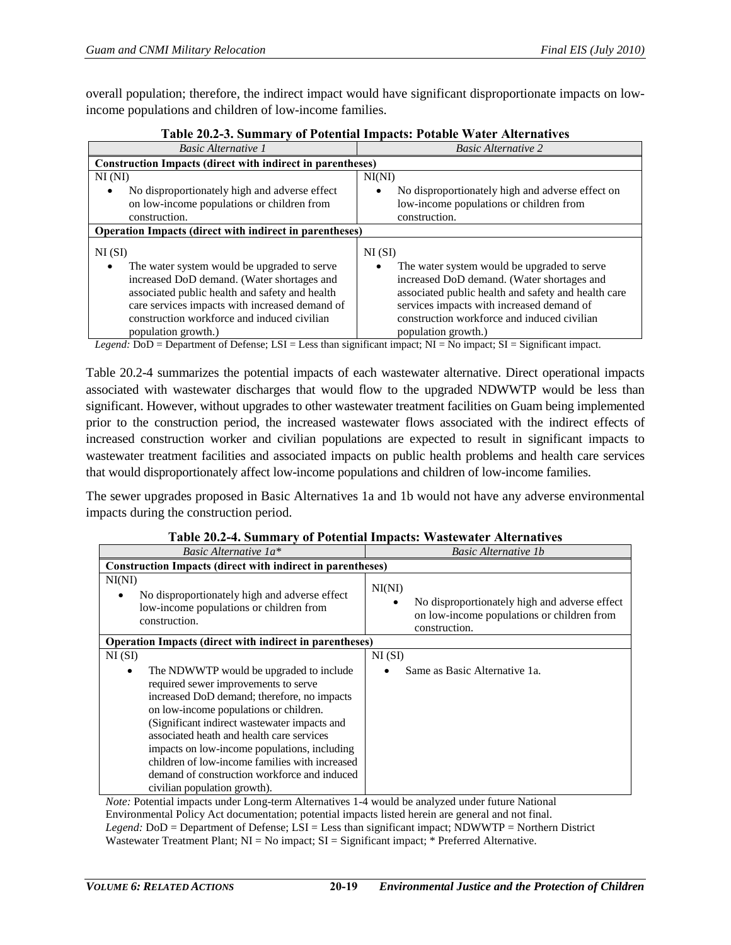overall population; therefore, the indirect impact would have significant disproportionate impacts on lowincome populations and children of low-income families.

<span id="page-18-0"></span>

| Table 2012 01 Summary of Foleman Impacts. Folable watch Thier matrics                                                                                                                                                                                                                                                                                                                                                                                                                                                                                                                                                                |                                                                                                                                                                                                                                                                                                                                                           |  |  |  |
|--------------------------------------------------------------------------------------------------------------------------------------------------------------------------------------------------------------------------------------------------------------------------------------------------------------------------------------------------------------------------------------------------------------------------------------------------------------------------------------------------------------------------------------------------------------------------------------------------------------------------------------|-----------------------------------------------------------------------------------------------------------------------------------------------------------------------------------------------------------------------------------------------------------------------------------------------------------------------------------------------------------|--|--|--|
| <b>Basic Alternative 1</b>                                                                                                                                                                                                                                                                                                                                                                                                                                                                                                                                                                                                           | <b>Basic Alternative 2</b>                                                                                                                                                                                                                                                                                                                                |  |  |  |
| <b>Construction Impacts (direct with indirect in parentheses)</b>                                                                                                                                                                                                                                                                                                                                                                                                                                                                                                                                                                    |                                                                                                                                                                                                                                                                                                                                                           |  |  |  |
| NI(NI)                                                                                                                                                                                                                                                                                                                                                                                                                                                                                                                                                                                                                               | NI(NI)                                                                                                                                                                                                                                                                                                                                                    |  |  |  |
| No disproportionately high and adverse effect<br>on low-income populations or children from<br>construction.                                                                                                                                                                                                                                                                                                                                                                                                                                                                                                                         | No disproportionately high and adverse effect on<br>٠<br>low-income populations or children from<br>construction.                                                                                                                                                                                                                                         |  |  |  |
| <b>Operation Impacts (direct with indirect in parentheses)</b>                                                                                                                                                                                                                                                                                                                                                                                                                                                                                                                                                                       |                                                                                                                                                                                                                                                                                                                                                           |  |  |  |
| NI(SI)<br>The water system would be upgraded to serve<br>increased DoD demand. (Water shortages and<br>associated public health and safety and health<br>care services impacts with increased demand of<br>construction workforce and induced civilian<br>population growth.)<br>$TOT$ $T$ $A$<br>$\mathbf{r}$ $\mathbf{r}$ $\mathbf{r}$ $\mathbf{r}$ $\mathbf{r}$ $\mathbf{r}$ $\mathbf{r}$ $\mathbf{r}$ $\mathbf{r}$ $\mathbf{r}$ $\mathbf{r}$ $\mathbf{r}$ $\mathbf{r}$ $\mathbf{r}$ $\mathbf{r}$ $\mathbf{r}$ $\mathbf{r}$ $\mathbf{r}$ $\mathbf{r}$ $\mathbf{r}$ $\mathbf{r}$ $\mathbf{r}$ $\mathbf{r}$ $\mathbf{r}$ $\mathbf{$ | NI(SI)<br>The water system would be upgraded to serve<br>$\bullet$<br>increased DoD demand. (Water shortages and<br>associated public health and safety and health care<br>services impacts with increased demand of<br>construction workforce and induced civilian<br>population growth.)<br>$\cdot$ $\sim$<br>$\mathbf{r}$ . The state and $\mathbf{r}$ |  |  |  |

# **Table 20.2-3. Summary of Potential Impacts: Potable Water Alternatives**

*Legend:* DoD = Department of Defense; LSI = Less than significant impact; NI = No impact; SI = Significant impact.

[Table 20.2-4](#page-18-1) summarizes the potential impacts of each wastewater alternative. Direct operational impacts associated with wastewater discharges that would flow to the upgraded NDWWTP would be less than significant. However, without upgrades to other wastewater treatment facilities on Guam being implemented prior to the construction period, the increased wastewater flows associated with the indirect effects of increased construction worker and civilian populations are expected to result in significant impacts to wastewater treatment facilities and associated impacts on public health problems and health care services that would disproportionately affect low-income populations and children of low-income families.

The sewer upgrades proposed in Basic Alternatives 1a and 1b would not have any adverse environmental impacts during the construction period.

<span id="page-18-1"></span>

| Table 20.2-4. Summary of Folchtial Impacts. Wastewatch Alternatives                                                                                                                                                                                                                                                                                                                                                                                          |                                                                                                                             |  |  |  |  |  |
|--------------------------------------------------------------------------------------------------------------------------------------------------------------------------------------------------------------------------------------------------------------------------------------------------------------------------------------------------------------------------------------------------------------------------------------------------------------|-----------------------------------------------------------------------------------------------------------------------------|--|--|--|--|--|
| Basic Alternative 1a*                                                                                                                                                                                                                                                                                                                                                                                                                                        | <b>Basic Alternative 1b</b>                                                                                                 |  |  |  |  |  |
| <b>Construction Impacts (direct with indirect in parentheses)</b>                                                                                                                                                                                                                                                                                                                                                                                            |                                                                                                                             |  |  |  |  |  |
| NI(NI)<br>No disproportionately high and adverse effect<br>low-income populations or children from<br>construction.                                                                                                                                                                                                                                                                                                                                          | NI(NI)<br>No disproportionately high and adverse effect<br>٠<br>on low-income populations or children from<br>construction. |  |  |  |  |  |
| <b>Operation Impacts (direct with indirect in parentheses)</b>                                                                                                                                                                                                                                                                                                                                                                                               |                                                                                                                             |  |  |  |  |  |
| NI(SI)                                                                                                                                                                                                                                                                                                                                                                                                                                                       | NI(SI)                                                                                                                      |  |  |  |  |  |
| The NDWWTP would be upgraded to include<br>٠<br>required sewer improvements to serve<br>increased DoD demand; therefore, no impacts<br>on low-income populations or children.<br>(Significant indirect wastewater impacts and<br>associated heath and health care services<br>impacts on low-income populations, including<br>children of low-income families with increased<br>demand of construction workforce and induced<br>civilian population growth). | Same as Basic Alternative 1a.                                                                                               |  |  |  |  |  |

#### **Table 20.2-4. Summary of Potential Impacts: Wastewater Alternatives**

*Note:* Potential impacts under Long-term Alternatives 1-4 would be analyzed under future National Environmental Policy Act documentation; potential impacts listed herein are general and not final. *Legend:* DoD = Department of Defense; LSI = Less than significant impact; NDWWTP = Northern District Wastewater Treatment Plant; NI = No impact; SI = Significant impact; \* Preferred Alternative.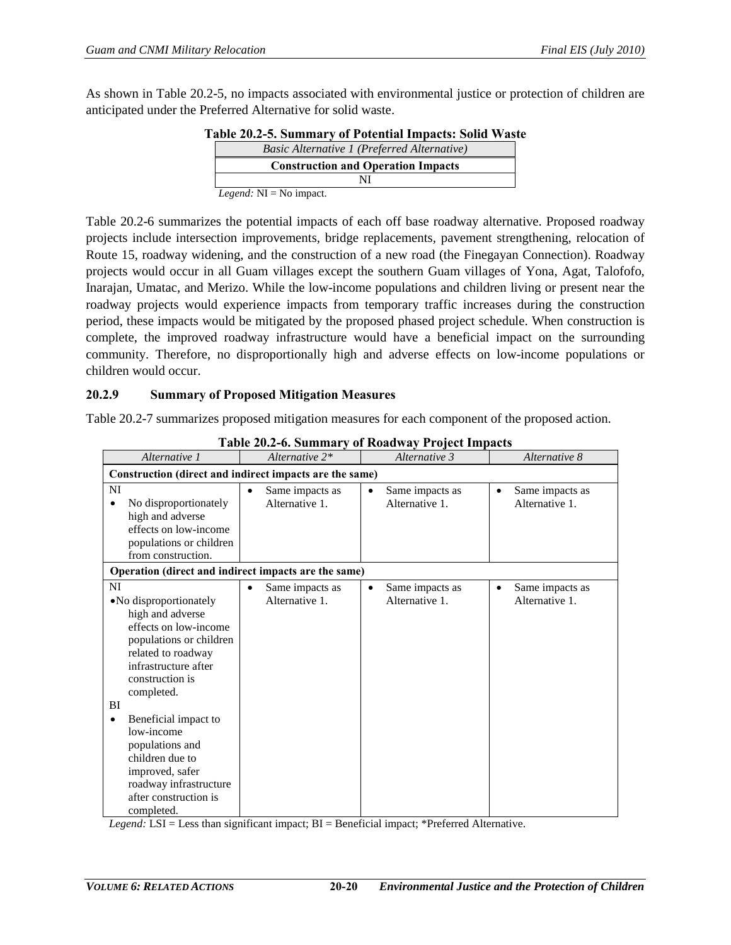<span id="page-19-0"></span>As shown in [Table 20.2-5,](#page-19-0) no impacts associated with environmental justice or protection of children are anticipated under the Preferred Alternative for solid waste.

| Table 20.2-5. Summary of Potential Impacts: Solid Waste |  |
|---------------------------------------------------------|--|
| Basic Alternative 1 (Preferred Alternative)             |  |
| <b>Construction and Operation Impacts</b>               |  |
|                                                         |  |
| <i>Legend:</i> $NI = No$ impact.                        |  |

[Table 20.2-6](#page-19-1) summarizes the potential impacts of each off base roadway alternative. Proposed roadway projects include intersection improvements, bridge replacements, pavement strengthening, relocation of Route 15, roadway widening, and the construction of a new road (the Finegayan Connection). Roadway projects would occur in all Guam villages except the southern Guam villages of Yona, Agat, Talofofo, Inarajan, Umatac, and Merizo. While the low-income populations and children living or present near the roadway projects would experience impacts from temporary traffic increases during the construction period, these impacts would be mitigated by the proposed phased project schedule. When construction is complete, the improved roadway infrastructure would have a beneficial impact on the surrounding community. Therefore, no disproportionally high and adverse effects on low-income populations or children would occur.

#### **20.2.9 Summary of Proposed Mitigation Measures**

[Table 20.2-7](#page-20-0) summarizes proposed mitigation measures for each component of the proposed action.

<span id="page-19-1"></span>

| Alternative 1                                                                                                                                                                                                                                                                                                                                                   | Alternative 2*                                 | $\frac{1}{2}$ and $\frac{1}{2}$ of $\frac{1}{2}$ and $\frac{1}{2}$ are $\frac{1}{2}$ and $\frac{1}{2}$ are $\frac{1}{2}$ and $\frac{1}{2}$ are $\frac{1}{2}$<br>Alternative 3 | Alternative 8                                  |  |
|-----------------------------------------------------------------------------------------------------------------------------------------------------------------------------------------------------------------------------------------------------------------------------------------------------------------------------------------------------------------|------------------------------------------------|-------------------------------------------------------------------------------------------------------------------------------------------------------------------------------|------------------------------------------------|--|
| Construction (direct and indirect impacts are the same)                                                                                                                                                                                                                                                                                                         |                                                |                                                                                                                                                                               |                                                |  |
| NI<br>No disproportionately<br>٠<br>high and adverse<br>effects on low-income<br>populations or children<br>from construction.                                                                                                                                                                                                                                  | Same impacts as<br>٠<br>Alternative 1.         | Same impacts as<br>$\bullet$<br>Alternative 1.                                                                                                                                | Same impacts as<br>٠<br>Alternative 1.         |  |
| Operation (direct and indirect impacts are the same)                                                                                                                                                                                                                                                                                                            |                                                |                                                                                                                                                                               |                                                |  |
| NI<br>• No disproportionately<br>high and adverse<br>effects on low-income<br>populations or children<br>related to roadway<br>infrastructure after<br>construction is<br>completed.<br>BI<br>Beneficial impact to<br>٠<br>low-income<br>populations and<br>children due to<br>improved, safer<br>roadway infrastructure<br>after construction is<br>completed. | Same impacts as<br>$\bullet$<br>Alternative 1. | Same impacts as<br>$\bullet$<br>Alternative 1.                                                                                                                                | Same impacts as<br>$\bullet$<br>Alternative 1. |  |

**Table 20.2-6. Summary of Roadway Project Impacts** 

*Legend:* LSI = Less than significant impact; BI = Beneficial impact; \*Preferred Alternative.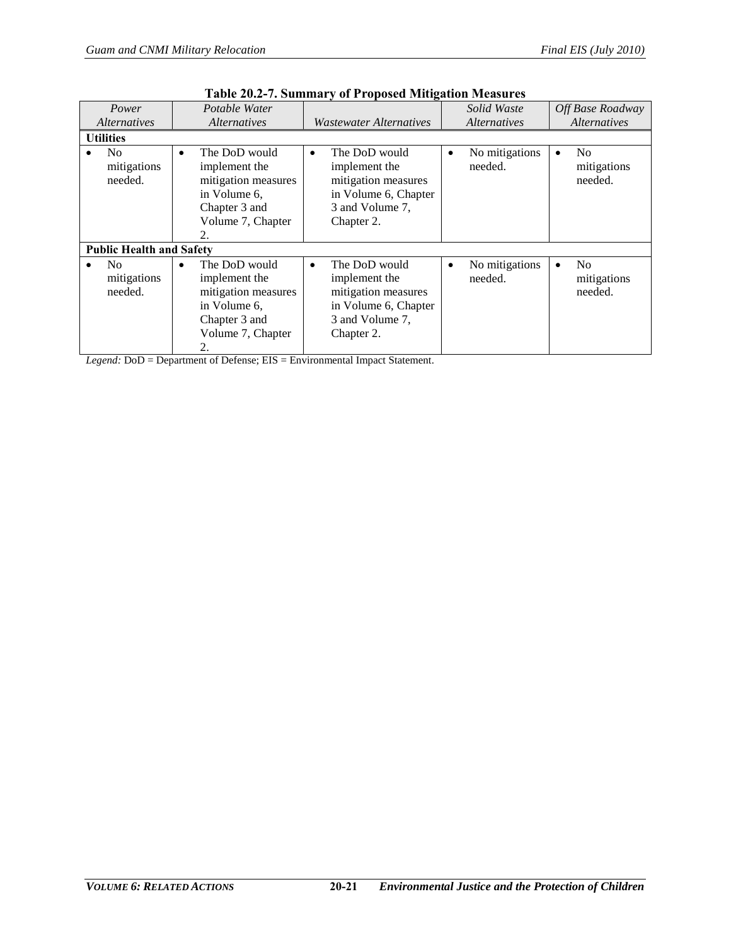<span id="page-20-0"></span>

| Power                                                                 | Potable Water                                                                                                                  |                                                                                                                             | Solid Waste                            | Off Base Roadway                                      |
|-----------------------------------------------------------------------|--------------------------------------------------------------------------------------------------------------------------------|-----------------------------------------------------------------------------------------------------------------------------|----------------------------------------|-------------------------------------------------------|
| <i>Alternatives</i><br>Wastewater Alternatives<br><i>Alternatives</i> |                                                                                                                                | <i>Alternatives</i>                                                                                                         | <i>Alternatives</i>                    |                                                       |
| <b>Utilities</b>                                                      |                                                                                                                                |                                                                                                                             |                                        |                                                       |
| N <sub>0</sub><br>mitigations<br>needed.                              | The DoD would<br>$\bullet$<br>implement the<br>mitigation measures<br>in Volume 6,<br>Chapter 3 and<br>Volume 7, Chapter<br>2. | The DoD would<br>$\bullet$<br>implement the<br>mitigation measures<br>in Volume 6, Chapter<br>3 and Volume 7,<br>Chapter 2. | No mitigations<br>$\bullet$<br>needed. | N <sub>0</sub><br>$\bullet$<br>mitigations<br>needed. |
| <b>Public Health and Safety</b>                                       |                                                                                                                                |                                                                                                                             |                                        |                                                       |
| N <sub>0</sub><br>mitigations<br>needed.                              | The DoD would<br>$\bullet$<br>implement the<br>mitigation measures<br>in Volume 6.<br>Chapter 3 and<br>Volume 7, Chapter<br>2. | The DoD would<br>$\bullet$<br>implement the<br>mitigation measures<br>in Volume 6, Chapter<br>3 and Volume 7,<br>Chapter 2. | No mitigations<br>$\bullet$<br>needed. | N <sub>0</sub><br>$\bullet$<br>mitigations<br>needed. |

|  |  |  |  | <b>Table 20.2-7. Summary of Proposed Mitigation Measures</b> |
|--|--|--|--|--------------------------------------------------------------|
|--|--|--|--|--------------------------------------------------------------|

*Legend:* DoD = Department of Defense; EIS = Environmental Impact Statement.